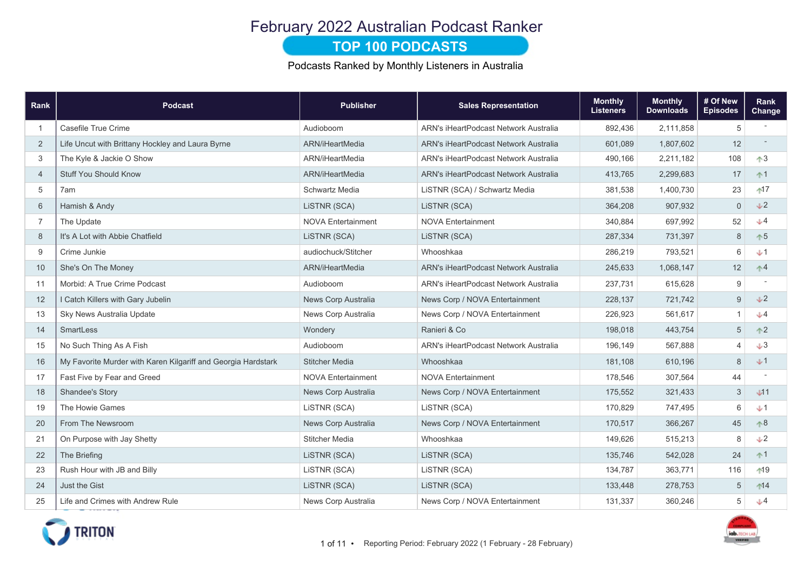# February 2022 Australian Podcast Ranker

#### **TOP 100 PODCASTS**

Podcasts Ranked by Monthly Listeners in Australia

| Rank           | <b>Podcast</b>                                                | <b>Publisher</b>          | <b>Sales Representation</b>           | <b>Monthly</b><br><b>Listeners</b> | <b>Monthly</b><br><b>Downloads</b> | # Of New<br><b>Episodes</b> | Rank<br><b>Change</b>                         |
|----------------|---------------------------------------------------------------|---------------------------|---------------------------------------|------------------------------------|------------------------------------|-----------------------------|-----------------------------------------------|
| $\overline{1}$ | Casefile True Crime                                           | Audioboom                 | ARN's iHeartPodcast Network Australia | 892,436                            | 2,111,858                          | 5                           |                                               |
| 2              | Life Uncut with Brittany Hockley and Laura Byrne              | ARN/iHeartMedia           | ARN's iHeartPodcast Network Australia | 601,089                            | 1,807,602                          | 12                          |                                               |
| 3              | The Kyle & Jackie O Show                                      | ARN/iHeartMedia           | ARN's iHeartPodcast Network Australia | 490,166                            | 2,211,182                          | 108                         | $\uparrow$ 3                                  |
| $\overline{4}$ | <b>Stuff You Should Know</b>                                  | ARN/iHeartMedia           | ARN's iHeartPodcast Network Australia | 413,765                            | 2,299,683                          | 17                          | $+1$                                          |
| 5              | 7am                                                           | Schwartz Media            | LiSTNR (SCA) / Schwartz Media         | 381,538                            | 1,400,730                          | 23                          | $17$                                          |
| 6              | Hamish & Andy                                                 | LISTNR (SCA)              | LISTNR (SCA)                          | 364,208                            | 907,932                            | 0                           | $\sqrt{2}$                                    |
| $\overline{7}$ | The Update                                                    | <b>NOVA Entertainment</b> | <b>NOVA Entertainment</b>             | 340,884                            | 697,992                            | 52                          | J4                                            |
| 8              | It's A Lot with Abbie Chatfield                               | LISTNR (SCA)              | LiSTNR (SCA)                          | 287,334                            | 731,397                            | 8                           | $\uparrow 5$                                  |
| 9              | Crime Junkie                                                  | audiochuck/Stitcher       | Whooshkaa                             | 286,219                            | 793,521                            | 6                           | $+1$                                          |
| 10             | She's On The Money                                            | ARN/iHeartMedia           | ARN's iHeartPodcast Network Australia | 245,633                            | 1,068,147                          | 12                          | $\uparrow$ <sup>4</sup>                       |
| 11             | Morbid: A True Crime Podcast                                  | Audioboom                 | ARN's iHeartPodcast Network Australia | 237,731                            | 615,628                            | $\boldsymbol{9}$            |                                               |
| 12             | I Catch Killers with Gary Jubelin                             | News Corp Australia       | News Corp / NOVA Entertainment        | 228,137                            | 721,742                            | 9                           | V <sub>2</sub>                                |
| 13             | Sky News Australia Update                                     | News Corp Australia       | News Corp / NOVA Entertainment        | 226,923                            | 561,617                            | $\mathbf{1}$                | J4                                            |
| 14             | SmartLess                                                     | Wondery                   | Ranieri & Co                          | 198,018                            | 443,754                            | 5                           | $^{\tiny{\textcircled{\char'42}}\rightarrow}$ |
| 15             | No Such Thing As A Fish                                       | Audioboom                 | ARN's iHeartPodcast Network Australia | 196,149                            | 567,888                            | 4                           | $+3$                                          |
| 16             | My Favorite Murder with Karen Kilgariff and Georgia Hardstark | <b>Stitcher Media</b>     | Whooshkaa                             | 181,108                            | 610,196                            | 8                           | $+1$                                          |
| 17             | Fast Five by Fear and Greed                                   | <b>NOVA Entertainment</b> | <b>NOVA Entertainment</b>             | 178,546                            | 307,564                            | 44                          |                                               |
| 18             | <b>Shandee's Story</b>                                        | News Corp Australia       | News Corp / NOVA Entertainment        | 175,552                            | 321,433                            | 3                           | J11                                           |
| 19             | The Howie Games                                               | LISTNR (SCA)              | LISTNR (SCA)                          | 170,829                            | 747,495                            | 6                           | $+1$                                          |
| 20             | From The Newsroom                                             | News Corp Australia       | News Corp / NOVA Entertainment        | 170,517                            | 366,267                            | 45                          | $\uparrow 8$                                  |
| 21             | On Purpose with Jay Shetty                                    | <b>Stitcher Media</b>     | Whooshkaa                             | 149,626                            | 515,213                            | 8                           | $\sqrt{2}$                                    |
| 22             | The Briefing                                                  | LISTNR (SCA)              | LISTNR (SCA)                          | 135,746                            | 542,028                            | 24                          | $+1$                                          |
| 23             | Rush Hour with JB and Billy                                   | LISTNR (SCA)              | LISTNR (SCA)                          | 134,787                            | 363,771                            | 116                         | $19$                                          |
| 24             | Just the Gist                                                 | LiSTNR (SCA)              | LiSTNR (SCA)                          | 133,448                            | 278,753                            | 5                           | $14$                                          |
| 25             | Life and Crimes with Andrew Rule                              | News Corp Australia       | News Corp / NOVA Entertainment        | 131,337                            | 360,246                            | 5                           | $+4$                                          |



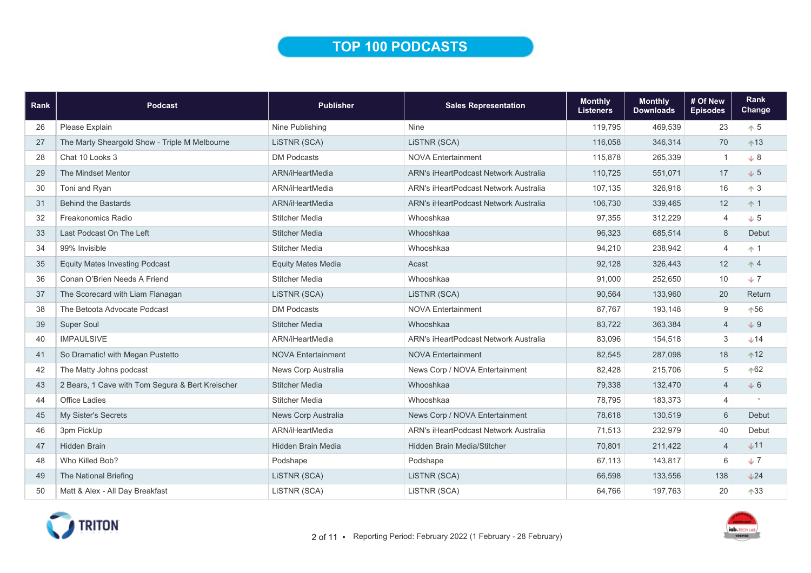## TOP 100 PODCASTS

| Rank | <b>Podcast</b>                                   | <b>Publisher</b>          | <b>Sales Representation</b>                  | <b>Monthly</b><br><b>Listeners</b> | <b>Monthly</b><br><b>Downloads</b> | # Of New<br><b>Episodes</b> | Rank<br>Change |
|------|--------------------------------------------------|---------------------------|----------------------------------------------|------------------------------------|------------------------------------|-----------------------------|----------------|
| 26   | Please Explain                                   | Nine Publishing           | <b>Nine</b>                                  | 119,795                            | 469,539                            | 23                          | $\uparrow$ 5   |
| 27   | The Marty Sheargold Show - Triple M Melbourne    | LISTNR (SCA)              | LISTNR (SCA)                                 | 116,058                            | 346,314                            | 70                          | $+13$          |
| 28   | Chat 10 Looks 3                                  | <b>DM Podcasts</b>        | <b>NOVA Entertainment</b>                    | 115,878                            | 265,339                            | $\overline{1}$              | $+8$           |
| 29   | The Mindset Mentor                               | ARN/iHeartMedia           | ARN's iHeartPodcast Network Australia        | 110,725                            | 551,071                            | 17                          | $\sqrt{5}$     |
| 30   | Toni and Ryan                                    | ARN/iHeartMedia           | <b>ARN's iHeartPodcast Network Australia</b> | 107,135                            | 326,918                            | 16                          | $\uparrow$ 3   |
| 31   | <b>Behind the Bastards</b>                       | ARN/iHeartMedia           | ARN's iHeartPodcast Network Australia        | 106,730                            | 339,465                            | 12                          | $+1$           |
| 32   | Freakonomics Radio                               | <b>Stitcher Media</b>     | Whooshkaa                                    | 97,355                             | 312,229                            | $\overline{4}$              | $\downarrow$ 5 |
| 33   | Last Podcast On The Left                         | <b>Stitcher Media</b>     | Whooshkaa                                    | 96,323                             | 685,514                            | 8                           | Debut          |
| 34   | 99% Invisible                                    | <b>Stitcher Media</b>     | Whooshkaa                                    | 94,210                             | 238,942                            | $\overline{4}$              | $\uparrow$ 1   |
| 35   | <b>Equity Mates Investing Podcast</b>            | <b>Equity Mates Media</b> | Acast                                        | 92,128                             | 326,443                            | 12                          | $\uparrow$ 4   |
| 36   | Conan O'Brien Needs A Friend                     | <b>Stitcher Media</b>     | Whooshkaa                                    | 91,000                             | 252,650                            | 10                          | $+7$           |
| 37   | The Scorecard with Liam Flanagan                 | LISTNR (SCA)              | LISTNR (SCA)                                 | 90,564                             | 133,960                            | 20                          | Return         |
| 38   | The Betoota Advocate Podcast                     | <b>DM Podcasts</b>        | <b>NOVA Entertainment</b>                    | 87,767                             | 193,148                            | 9                           | $+56$          |
| 39   | <b>Super Soul</b>                                | <b>Stitcher Media</b>     | Whooshkaa                                    | 83,722                             | 363,384                            | $\overline{4}$              | $+9$           |
| 40   | <b>IMPAULSIVE</b>                                | ARN/iHeartMedia           | <b>ARN's iHeartPodcast Network Australia</b> | 83,096                             | 154,518                            | 3                           | $+14$          |
| 41   | So Dramatic! with Megan Pustetto                 | <b>NOVA Entertainment</b> | <b>NOVA Entertainment</b>                    | 82,545                             | 287,098                            | 18                          | $^{\text{12}}$ |
| 42   | The Matty Johns podcast                          | News Corp Australia       | News Corp / NOVA Entertainment               | 82,428                             | 215,706                            | 5                           | $+62$          |
| 43   | 2 Bears, 1 Cave with Tom Segura & Bert Kreischer | <b>Stitcher Media</b>     | Whooshkaa                                    | 79,338                             | 132,470                            | $\overline{4}$              | $+6$           |
| 44   | <b>Office Ladies</b>                             | <b>Stitcher Media</b>     | Whooshkaa                                    | 78,795                             | 183,373                            | $\overline{4}$              |                |
| 45   | My Sister's Secrets                              | News Corp Australia       | News Corp / NOVA Entertainment               | 78,618                             | 130,519                            | 6                           | Debut          |
| 46   | 3pm PickUp                                       | ARN/iHeartMedia           | ARN's iHeartPodcast Network Australia        | 71,513                             | 232,979                            | 40                          | Debut          |
| 47   | <b>Hidden Brain</b>                              | <b>Hidden Brain Media</b> | <b>Hidden Brain Media/Stitcher</b>           | 70,801                             | 211,422                            | $\overline{4}$              | $+11$          |
| 48   | Who Killed Bob?                                  | Podshape                  | Podshape                                     | 67,113                             | 143,817                            | 6                           | $+7$           |
| 49   | The National Briefing                            | LISTNR (SCA)              | LISTNR (SCA)                                 | 66,598                             | 133,556                            | 138                         | $+24$          |
| 50   | Matt & Alex - All Day Breakfast                  | LiSTNR (SCA)              | LiSTNR (SCA)                                 | 64,766                             | 197,763                            | 20                          | $+33$          |

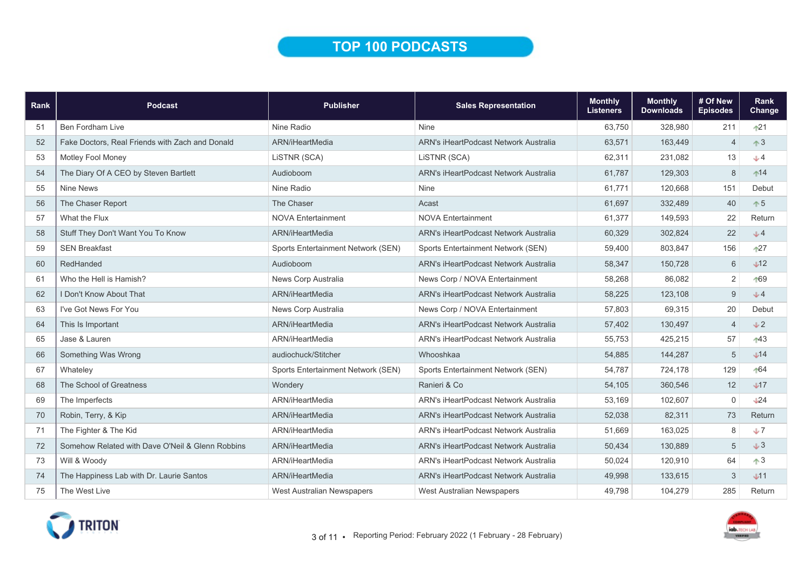## TOP 100 PODCASTS

| <b>Rank</b> | <b>Podcast</b>                                   | <b>Publisher</b>                   | <b>Sales Representation</b>                  | <b>Monthly</b><br><b>Listeners</b> | <b>Monthly</b><br><b>Downloads</b> | # Of New<br><b>Episodes</b> | Rank<br>Change |
|-------------|--------------------------------------------------|------------------------------------|----------------------------------------------|------------------------------------|------------------------------------|-----------------------------|----------------|
| 51          | Ben Fordham Live                                 | Nine Radio                         | <b>Nine</b>                                  | 63,750                             | 328,980                            | 211                         | $+21$          |
| 52          | Fake Doctors, Real Friends with Zach and Donald  | ARN/iHeartMedia                    | ARN's iHeartPodcast Network Australia        | 63,571                             | 163,449                            | $\overline{4}$              | $\uparrow$ 3   |
| 53          | Motley Fool Money                                | LISTNR (SCA)                       | LISTNR (SCA)                                 | 62,311                             | 231,082                            | 13                          | $J$ 4          |
| 54          | The Diary Of A CEO by Steven Bartlett            | Audioboom                          | <b>ARN's iHeartPodcast Network Australia</b> | 61,787                             | 129,303                            | 8                           | $14$           |
| 55          | <b>Nine News</b>                                 | Nine Radio                         | <b>Nine</b>                                  | 61,771                             | 120,668                            | 151                         | Debut          |
| 56          | The Chaser Report                                | The Chaser                         | Acast                                        | 61,697                             | 332,489                            | 40                          | $\uparrow 5$   |
| 57          | What the Flux                                    | <b>NOVA Entertainment</b>          | <b>NOVA Entertainment</b>                    | 61,377                             | 149,593                            | 22                          | Return         |
| 58          | Stuff They Don't Want You To Know                | ARN/iHeartMedia                    | ARN's iHeartPodcast Network Australia        | 60,329                             | 302,824                            | 22                          | J <sub>4</sub> |
| 59          | <b>SEN Breakfast</b>                             | Sports Entertainment Network (SEN) | Sports Entertainment Network (SEN)           | 59.400                             | 803.847                            | 156                         | $+27$          |
| 60          | RedHanded                                        | Audioboom                          | <b>ARN's iHeartPodcast Network Australia</b> | 58,347                             | 150,728                            | $6\,$                       | $\sqrt{12}$    |
| 61          | Who the Hell is Hamish?                          | News Corp Australia                | News Corp / NOVA Entertainment               | 58,268                             | 86,082                             | $\overline{2}$              | 169            |
| 62          | I Don't Know About That                          | ARN/iHeartMedia                    | <b>ARN's iHeartPodcast Network Australia</b> | 58,225                             | 123,108                            | $9\,$                       | J4             |
| 63          | I've Got News For You                            | News Corp Australia                | News Corp / NOVA Entertainment               | 57,803                             | 69,315                             | 20                          | Debut          |
| 64          | This Is Important                                | ARN/iHeartMedia                    | <b>ARN's iHeartPodcast Network Australia</b> | 57,402                             | 130,497                            | $\overline{4}$              | J2             |
| 65          | Jase & Lauren                                    | ARN/iHeartMedia                    | <b>ARN's iHeartPodcast Network Australia</b> | 55,753                             | 425,215                            | 57                          | $143$          |
| 66          | Something Was Wrong                              | audiochuck/Stitcher                | Whooshkaa                                    | 54,885                             | 144,287                            | 5                           | J14            |
| 67          | Whateley                                         | Sports Entertainment Network (SEN) | Sports Entertainment Network (SEN)           | 54,787                             | 724,178                            | 129                         | $-64$          |
| 68          | The School of Greatness                          | Wondery                            | Ranieri & Co                                 | 54,105                             | 360,546                            | 12                          | J17            |
| 69          | The Imperfects                                   | ARN/iHeartMedia                    | <b>ARN's iHeartPodcast Network Australia</b> | 53,169                             | 102,607                            | $\mathbf 0$                 | 124            |
| 70          | Robin, Terry, & Kip                              | ARN/iHeartMedia                    | ARN's iHeartPodcast Network Australia        | 52,038                             | 82,311                             | 73                          | Return         |
| 71          | The Fighter & The Kid                            | ARN/iHeartMedia                    | ARN's iHeartPodcast Network Australia        | 51,669                             | 163.025                            | 8                           | J              |
| 72          | Somehow Related with Dave O'Neil & Glenn Robbins | ARN/iHeartMedia                    | ARN's iHeartPodcast Network Australia        | 50,434                             | 130.889                            | 5                           | $+3$           |
| 73          | Will & Woody                                     | ARN/iHeartMedia                    | <b>ARN's iHeartPodcast Network Australia</b> | 50,024                             | 120,910                            | 64                          | $\uparrow$ 3   |
| 74          | The Happiness Lab with Dr. Laurie Santos         | ARN/iHeartMedia                    | <b>ARN's iHeartPodcast Network Australia</b> | 49,998                             | 133,615                            | 3                           | $+11$          |
| 75          | The West Live                                    | <b>West Australian Newspapers</b>  | West Australian Newspapers                   | 49.798                             | 104,279                            | 285                         | Return         |

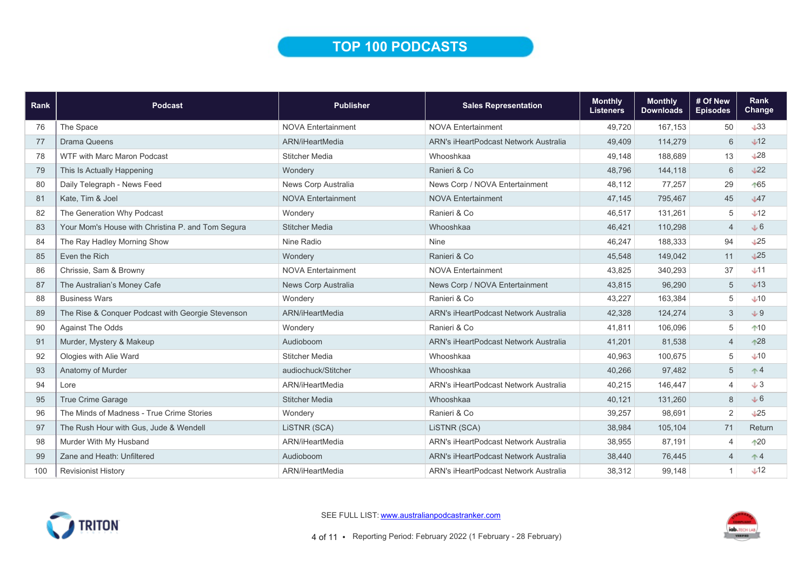## TOP 100 PODCASTS

| Rank | <b>Podcast</b>                                    | <b>Publisher</b>          | <b>Sales Representation</b>           | <b>Monthly</b><br><b>Listeners</b> | <b>Monthly</b><br><b>Downloads</b> | # Of New<br><b>Episodes</b> | <b>Rank</b><br>Change |
|------|---------------------------------------------------|---------------------------|---------------------------------------|------------------------------------|------------------------------------|-----------------------------|-----------------------|
| 76   | The Space                                         | <b>NOVA Entertainment</b> | <b>NOVA Entertainment</b>             | 49,720                             | 167.153                            | 50                          | $\downarrow$ 33       |
| 77   | <b>Drama Queens</b>                               | ARN/iHeartMedia           | ARN's iHeartPodcast Network Australia | 49,409                             | 114,279                            | 6                           | $\sqrt{12}$           |
| 78   | <b>WTF with Marc Maron Podcast</b>                | <b>Stitcher Media</b>     | Whooshkaa                             | 49,148                             | 188,689                            | 13                          | L28                   |
| 79   | This Is Actually Happening                        | Wondery                   | Ranieri & Co                          | 48,796                             | 144,118                            | 6                           | $\sqrt{22}$           |
| 80   | Daily Telegraph - News Feed                       | News Corp Australia       | News Corp / NOVA Entertainment        | 48,112                             | 77,257                             | 29                          | 165                   |
| 81   | Kate, Tim & Joel                                  | <b>NOVA Entertainment</b> | <b>NOVA Entertainment</b>             | 47,145                             | 795,467                            | 45                          | $\sqrt{47}$           |
| 82   | The Generation Why Podcast                        | Wondery                   | Ranieri & Co                          | 46,517                             | 131,261                            | 5                           | $\sqrt{12}$           |
| 83   | Your Mom's House with Christina P. and Tom Segura | <b>Stitcher Media</b>     | Whooshkaa                             | 46,421                             | 110,298                            | $\overline{4}$              | $+6$                  |
| 84   | The Ray Hadley Morning Show                       | Nine Radio                | <b>Nine</b>                           | 46,247                             | 188,333                            | 94                          | $\sqrt{25}$           |
| 85   | Even the Rich                                     | Wondery                   | Ranieri & Co                          | 45,548                             | 149,042                            | 11                          | $\sqrt{25}$           |
| 86   | Chrissie, Sam & Browny                            | <b>NOVA Entertainment</b> | <b>NOVA Entertainment</b>             | 43,825                             | 340,293                            | 37                          | $+11$                 |
| 87   | The Australian's Money Cafe                       | News Corp Australia       | News Corp / NOVA Entertainment        | 43,815                             | 96,290                             | 5                           | $\downarrow$ 13       |
| 88   | <b>Business Wars</b>                              | Wondery                   | Ranieri & Co                          | 43,227                             | 163,384                            | 5                           | $\downarrow$ 10       |
| 89   | The Rise & Conquer Podcast with Georgie Stevenson | ARN/iHeartMedia           | ARN's iHeartPodcast Network Australia | 42,328                             | 124,274                            | 3                           | $+9$                  |
| 90   | <b>Against The Odds</b>                           | Wondery                   | Ranieri & Co                          | 41,811                             | 106,096                            | 5                           | $^{\ast}10$           |
| 91   | Murder, Mystery & Makeup                          | Audioboom                 | ARN's iHeartPodcast Network Australia | 41,201                             | 81,538                             | $\overline{4}$              | $^{\ast 28}$          |
| 92   | Ologies with Alie Ward                            | Stitcher Media            | Whooshkaa                             | 40,963                             | 100.675                            | 5                           | $\bigcup$ 10          |
| 93   | Anatomy of Murder                                 | audiochuck/Stitcher       | Whooshkaa                             | 40,266                             | 97,482                             | 5                           | $\uparrow 4$          |
| 94   | Lore                                              | ARN/iHeartMedia           | ARN's iHeartPodcast Network Australia | 40,215                             | 146,447                            | $\overline{\mathcal{L}}$    | $+3$                  |
| 95   | True Crime Garage                                 | <b>Stitcher Media</b>     | Whooshkaa                             | 40,121                             | 131,260                            | 8                           | J6                    |
| 96   | The Minds of Madness - True Crime Stories         | Wondery                   | Ranieri & Co                          | 39,257                             | 98,691                             | $\overline{2}$              | $\sqrt{25}$           |
| 97   | The Rush Hour with Gus, Jude & Wendell            | LISTNR (SCA)              | LISTNR (SCA)                          | 38,984                             | 105,104                            | 71                          | Return                |
| 98   | Murder With My Husband                            | ARN/iHeartMedia           | ARN's iHeartPodcast Network Australia | 38,955                             | 87,191                             | $\overline{\mathcal{L}}$    | $*20$                 |
| 99   | Zane and Heath: Unfiltered                        | Audioboom                 | ARN's iHeartPodcast Network Australia | 38,440                             | 76,445                             | $\overline{4}$              | $+4$                  |
| 100  | <b>Revisionist History</b>                        | ARN/iHeartMedia           | ARN's iHeartPodcast Network Australia | 38,312                             | 99,148                             |                             | $\sqrt{12}$           |



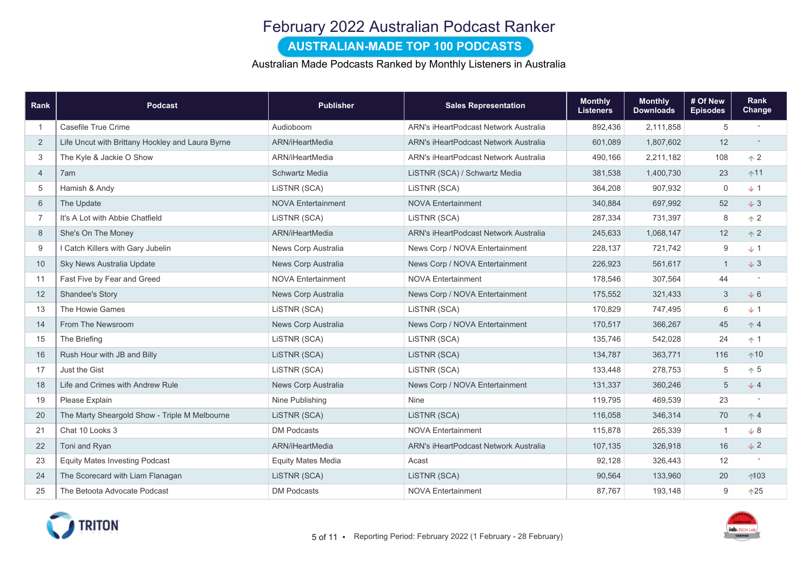## February 2022 Australian Podcast Ranker

#### AUSTRALIAN-MADE TOP 100 PODCASTS

Australian Made Podcasts Ranked by Monthly Listeners in Australia

| Rank           | <b>Podcast</b>                                   | <b>Publisher</b>          | <b>Sales Representation</b>           | <b>Monthly</b><br><b>Listeners</b> | <b>Monthly</b><br><b>Downloads</b> | # Of New<br><b>Episodes</b> | Rank<br>Change           |
|----------------|--------------------------------------------------|---------------------------|---------------------------------------|------------------------------------|------------------------------------|-----------------------------|--------------------------|
| -1             | Casefile True Crime                              | Audioboom                 | ARN's iHeartPodcast Network Australia | 892,436                            | 2,111,858                          | 5                           | $\overline{\phantom{a}}$ |
| 2              | Life Uncut with Brittany Hockley and Laura Byrne | ARN/iHeartMedia           | ARN's iHeartPodcast Network Australia | 601,089                            | 1,807,602                          | 12                          |                          |
| 3              | The Kyle & Jackie O Show                         | ARN/iHeartMedia           | ARN's iHeartPodcast Network Australia | 490,166                            | 2,211,182                          | 108                         | $\uparrow$ 2             |
| $\overline{4}$ | 7am                                              | Schwartz Media            | LISTNR (SCA) / Schwartz Media         | 381,538                            | 1,400,730                          | 23                          | $+11$                    |
| 5              | Hamish & Andy                                    | LiSTNR (SCA)              | LISTNR (SCA)                          | 364,208                            | 907,932                            | $\mathbf 0$                 | $+1$                     |
| 6              | The Update                                       | <b>NOVA Entertainment</b> | <b>NOVA Entertainment</b>             | 340,884                            | 697,992                            | 52                          | $+3$                     |
| $\overline{7}$ | It's A Lot with Abbie Chatfield                  | LISTNR (SCA)              | LISTNR (SCA)                          | 287,334                            | 731,397                            | 8                           | $\uparrow$ 2             |
| 8              | She's On The Money                               | ARN/iHeartMedia           | ARN's iHeartPodcast Network Australia | 245,633                            | 1,068,147                          | 12                          | $\uparrow$ 2             |
| 9              | I Catch Killers with Gary Jubelin                | News Corp Australia       | News Corp / NOVA Entertainment        | 228,137                            | 721,742                            | 9                           | $+1$                     |
| 10             | Sky News Australia Update                        | News Corp Australia       | News Corp / NOVA Entertainment        | 226,923                            | 561,617                            | $\overline{1}$              | $+3$                     |
| 11             | Fast Five by Fear and Greed                      | <b>NOVA Entertainment</b> | <b>NOVA Entertainment</b>             | 178,546                            | 307,564                            | 44                          |                          |
| 12             | Shandee's Story                                  | News Corp Australia       | News Corp / NOVA Entertainment        | 175,552                            | 321,433                            | 3                           | $+6$                     |
| 13             | The Howie Games                                  | LISTNR (SCA)              | LISTNR (SCA)                          | 170,829                            | 747,495                            | $6\,$                       | $+1$                     |
| 14             | From The Newsroom                                | News Corp Australia       | News Corp / NOVA Entertainment        | 170,517                            | 366,267                            | 45                          | $\uparrow$ 4             |
| 15             | The Briefing                                     | LISTNR (SCA)              | LISTNR (SCA)                          | 135,746                            | 542,028                            | 24                          | $+1$                     |
| 16             | Rush Hour with JB and Billy                      | LISTNR (SCA)              | LISTNR (SCA)                          | 134,787                            | 363,771                            | 116                         | $+10$                    |
| 17             | Just the Gist                                    | LiSTNR (SCA)              | LISTNR (SCA)                          | 133,448                            | 278,753                            | 5                           | $\uparrow$ 5             |
| 18             | Life and Crimes with Andrew Rule                 | News Corp Australia       | News Corp / NOVA Entertainment        | 131,337                            | 360,246                            | 5                           | $J$ 4                    |
| 19             | Please Explain                                   | Nine Publishing           | Nine                                  | 119,795                            | 469,539                            | 23                          |                          |
| 20             | The Marty Sheargold Show - Triple M Melbourne    | LISTNR (SCA)              | LISTNR (SCA)                          | 116,058                            | 346,314                            | 70                          | $+4$                     |
| 21             | Chat 10 Looks 3                                  | DM Podcasts               | <b>NOVA Entertainment</b>             | 115,878                            | 265,339                            | $\overline{1}$              | $\downarrow 8$           |
| 22             | Toni and Ryan                                    | ARN/iHeartMedia           | ARN's iHeartPodcast Network Australia | 107,135                            | 326,918                            | 16                          | $\sqrt{2}$               |
| 23             | <b>Equity Mates Investing Podcast</b>            | <b>Equity Mates Media</b> | Acast                                 | 92,128                             | 326,443                            | 12                          |                          |
| 24             | The Scorecard with Liam Flanagan                 | LISTNR (SCA)              | LISTNR (SCA)                          | 90,564                             | 133,960                            | 20                          | $+103$                   |
| 25             | The Betoota Advocate Podcast                     | <b>DM Podcasts</b>        | <b>NOVA Entertainment</b>             | 87,767                             | 193,148                            | 9                           | $+25$                    |



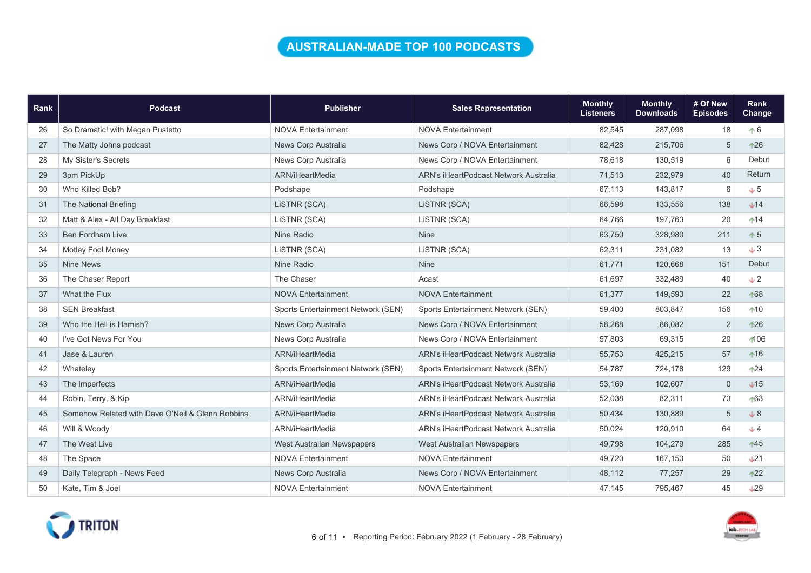### AUSTRALIAN-MADE TOP 100 PODCASTS

| Rank | <b>Podcast</b>                                   | <b>Publisher</b>                   | <b>Sales Representation</b>           | <b>Monthly</b><br><b>Listeners</b> | <b>Monthly</b><br><b>Downloads</b> | # Of New<br><b>Episodes</b> | Rank<br>Change  |
|------|--------------------------------------------------|------------------------------------|---------------------------------------|------------------------------------|------------------------------------|-----------------------------|-----------------|
| 26   | So Dramatic! with Megan Pustetto                 | <b>NOVA Entertainment</b>          | <b>NOVA Entertainment</b>             | 82,545                             | 287,098                            | 18                          | $+6$            |
| 27   | The Matty Johns podcast                          | News Corp Australia                | News Corp / NOVA Entertainment        | 82,428                             | 215,706                            | 5                           | $^{\ast 26}$    |
| 28   | My Sister's Secrets                              | News Corp Australia                | News Corp / NOVA Entertainment        | 78,618                             | 130,519                            | 6                           | Debut           |
| 29   | 3pm PickUp                                       | ARN/iHeartMedia                    | ARN's iHeartPodcast Network Australia | 71,513                             | 232,979                            | 40                          | Return          |
| 30   | Who Killed Bob?                                  | Podshape                           | Podshape                              | 67,113                             | 143,817                            | 6                           | $+5$            |
| 31   | The National Briefing                            | LISTNR (SCA)                       | LISTNR (SCA)                          | 66,598                             | 133,556                            | 138                         | $+14$           |
| 32   | Matt & Alex - All Day Breakfast                  | LISTNR (SCA)                       | LiSTNR (SCA)                          | 64,766                             | 197,763                            | 20                          | $14$            |
| 33   | <b>Ben Fordham Live</b>                          | Nine Radio                         | <b>Nine</b>                           | 63,750                             | 328,980                            | 211                         | $\uparrow 5$    |
| 34   | Motley Fool Money                                | LISTNR (SCA)                       | LISTNR (SCA)                          | 62,311                             | 231,082                            | 13                          | J3              |
| 35   | <b>Nine News</b>                                 | Nine Radio                         | <b>Nine</b>                           | 61,771                             | 120,668                            | 151                         | Debut           |
| 36   | The Chaser Report                                | The Chaser                         | Acast                                 | 61,697                             | 332,489                            | 40                          | $+2$            |
| 37   | What the Flux                                    | <b>NOVA Entertainment</b>          | <b>NOVA Entertainment</b>             | 61,377                             | 149,593                            | 22                          | ↑68             |
| 38   | <b>SEN Breakfast</b>                             | Sports Entertainment Network (SEN) | Sports Entertainment Network (SEN)    | 59,400                             | 803,847                            | 156                         | $+10$           |
| 39   | Who the Hell is Hamish?                          | News Corp Australia                | News Corp / NOVA Entertainment        | 58,268                             | 86,082                             | $\sqrt{2}$                  | $126$           |
| 40   | I've Got News For You                            | News Corp Australia                | News Corp / NOVA Entertainment        | 57,803                             | 69,315                             | 20                          | $-106$          |
| 41   | Jase & Lauren                                    | ARN/iHeartMedia                    | ARN's iHeartPodcast Network Australia | 55,753                             | 425,215                            | 57                          | $\uparrow$ 16   |
| 42   | Whateley                                         | Sports Entertainment Network (SEN) | Sports Entertainment Network (SEN)    | 54,787                             | 724,178                            | 129                         | $+24$           |
| 43   | The Imperfects                                   | ARN/iHeartMedia                    | ARN's iHeartPodcast Network Australia | 53,169                             | 102,607                            | $\boldsymbol{0}$            | $\sqrt{15}$     |
| 44   | Robin, Terry, & Kip                              | ARN/iHeartMedia                    | ARN's iHeartPodcast Network Australia | 52,038                             | 82,311                             | 73                          | $+63$           |
| 45   | Somehow Related with Dave O'Neil & Glenn Robbins | ARN/iHeartMedia                    | ARN's iHeartPodcast Network Australia | 50,434                             | 130,889                            | 5                           | $+8$            |
| 46   | Will & Woody                                     | ARN/iHeartMedia                    | ARN's iHeartPodcast Network Australia | 50,024                             | 120,910                            | 64                          | $+4$            |
| 47   | The West Live                                    | West Australian Newspapers         | West Australian Newspapers            | 49,798                             | 104,279                            | 285                         | $\uparrow$ 45   |
| 48   | The Space                                        | <b>NOVA Entertainment</b>          | <b>NOVA Entertainment</b>             | 49,720                             | 167,153                            | 50                          | L21             |
| 49   | Daily Telegraph - News Feed                      | News Corp Australia                | News Corp / NOVA Entertainment        | 48,112                             | 77,257                             | 29                          | $122$           |
| 50   | Kate, Tim & Joel                                 | <b>NOVA Entertainment</b>          | <b>NOVA Entertainment</b>             | 47,145                             | 795,467                            | 45                          | $\downarrow$ 29 |



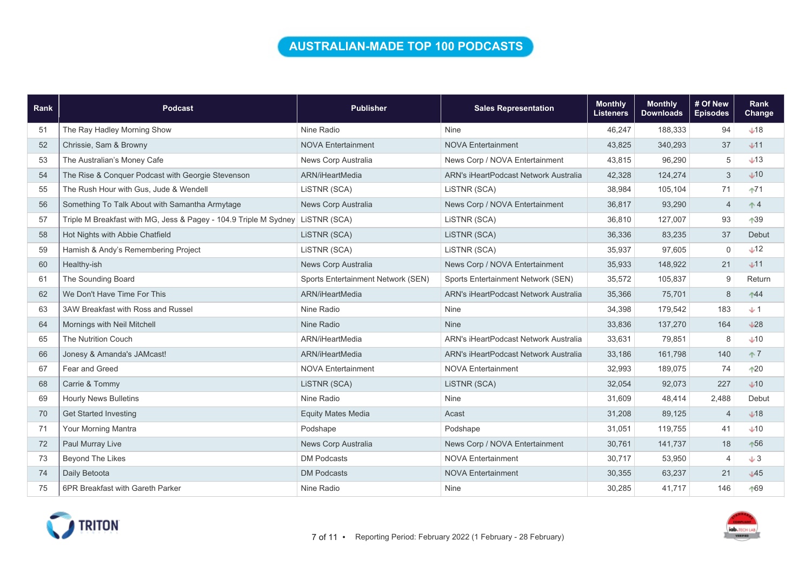### AUSTRALIAN-MADE TOP 100 PODCASTS

| Rank | <b>Podcast</b>                                                   | <b>Publisher</b>                   | <b>Sales Representation</b>           | <b>Monthly</b><br><b>Listeners</b> | <b>Monthly</b><br><b>Downloads</b> | # Of New<br><b>Episodes</b> | Rank<br>Change  |
|------|------------------------------------------------------------------|------------------------------------|---------------------------------------|------------------------------------|------------------------------------|-----------------------------|-----------------|
| 51   | The Ray Hadley Morning Show                                      | Nine Radio                         | <b>Nine</b>                           | 46,247                             | 188,333                            | 94                          | $\downarrow$ 18 |
| 52   | Chrissie, Sam & Browny                                           | <b>NOVA Entertainment</b>          | <b>NOVA Entertainment</b>             | 43,825                             | 340,293                            | 37                          | $+11$           |
| 53   | The Australian's Money Cafe                                      | News Corp Australia                | News Corp / NOVA Entertainment        | 43,815                             | 96,290                             | $\sqrt{5}$                  | $+13$           |
| 54   | The Rise & Conquer Podcast with Georgie Stevenson                | ARN/iHeartMedia                    | ARN's iHeartPodcast Network Australia | 42,328                             | 124,274                            | 3                           | $+10$           |
| 55   | The Rush Hour with Gus, Jude & Wendell                           | LiSTNR (SCA)                       | LISTNR (SCA)                          | 38,984                             | 105,104                            | 71                          | $+71$           |
| 56   | Something To Talk About with Samantha Armytage                   | News Corp Australia                | News Corp / NOVA Entertainment        | 36,817                             | 93,290                             | $\overline{4}$              | $\uparrow$ 4    |
| 57   | Triple M Breakfast with MG, Jess & Pagey - 104.9 Triple M Sydney | LiSTNR (SCA)                       | LISTNR (SCA)                          | 36,810                             | 127,007                            | 93                          | ↑39             |
| 58   | Hot Nights with Abbie Chatfield                                  | LISTNR (SCA)                       | LISTNR (SCA)                          | 36,336                             | 83,235                             | 37                          | Debut           |
| 59   | Hamish & Andy's Remembering Project                              | LISTNR (SCA)                       | LISTNR (SCA)                          | 35,937                             | 97,605                             | $\mathbf 0$                 | $+12$           |
| 60   | Healthy-ish                                                      | News Corp Australia                | News Corp / NOVA Entertainment        | 35,933                             | 148,922                            | 21                          | $+11$           |
| 61   | The Sounding Board                                               | Sports Entertainment Network (SEN) | Sports Entertainment Network (SEN)    | 35,572                             | 105,837                            | 9                           | Return          |
| 62   | We Don't Have Time For This                                      | ARN/iHeartMedia                    | ARN's iHeartPodcast Network Australia | 35,366                             | 75,701                             | 8                           | $+44$           |
| 63   | 3AW Breakfast with Ross and Russel                               | Nine Radio                         | <b>Nine</b>                           | 34,398                             | 179,542                            | 183                         | $+1$            |
| 64   | Mornings with Neil Mitchell                                      | Nine Radio                         | <b>Nine</b>                           | 33,836                             | 137,270                            | 164                         | L28             |
| 65   | <b>The Nutrition Couch</b>                                       | ARN/iHeartMedia                    | ARN's iHeartPodcast Network Australia | 33,631                             | 79,851                             | 8                           | $+10$           |
| 66   | Jonesy & Amanda's JAMcast!                                       | ARN/iHeartMedia                    | ARN's iHeartPodcast Network Australia | 33,186                             | 161,798                            | 140                         | $\uparrow$ 7    |
| 67   | Fear and Greed                                                   | <b>NOVA Entertainment</b>          | <b>NOVA Entertainment</b>             | 32,993                             | 189,075                            | 74                          | $+20$           |
| 68   | Carrie & Tommy                                                   | LiSTNR (SCA)                       | LISTNR (SCA)                          | 32,054                             | 92,073                             | 227                         | $+10$           |
| 69   | <b>Hourly News Bulletins</b>                                     | Nine Radio                         | Nine                                  | 31,609                             | 48,414                             | 2,488                       | Debut           |
| 70   | <b>Get Started Investing</b>                                     | <b>Equity Mates Media</b>          | Acast                                 | 31,208                             | 89,125                             | $\overline{4}$              | $\bigcup$ 18    |
| 71   | Your Morning Mantra                                              | Podshape                           | Podshape                              | 31,051                             | 119,755                            | 41                          | $+10$           |
| 72   | Paul Murray Live                                                 | News Corp Australia                | News Corp / NOVA Entertainment        | 30,761                             | 141,737                            | 18                          | $+56$           |
| 73   | Beyond The Likes                                                 | <b>DM Podcasts</b>                 | <b>NOVA Entertainment</b>             | 30,717                             | 53,950                             | $\overline{4}$              | $+3$            |
| 74   | Daily Betoota                                                    | <b>DM Podcasts</b>                 | <b>NOVA Entertainment</b>             | 30,355                             | 63,237                             | 21                          | $\sqrt{45}$     |
| 75   | 6PR Breakfast with Gareth Parker                                 | Nine Radio                         | <b>Nine</b>                           | 30,285                             | 41.717                             | 146                         | ↑69             |



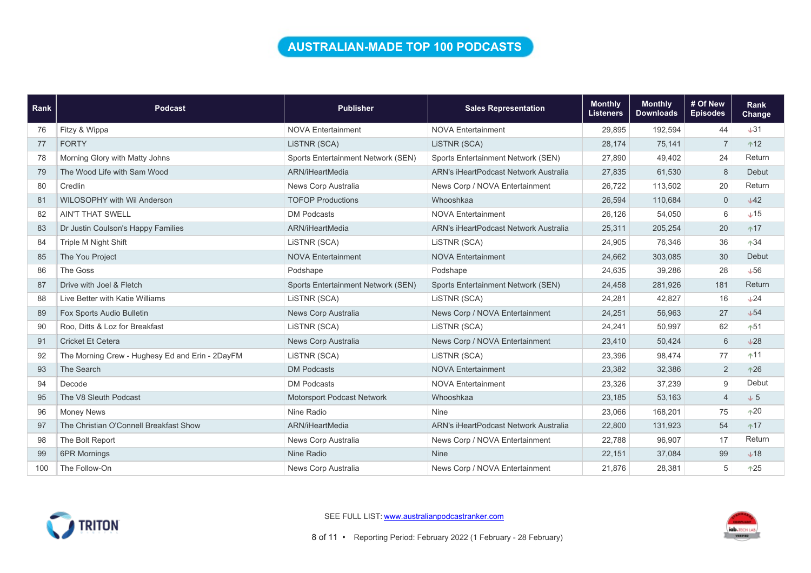### AUSTRALIAN-MADE TOP 100 PODCASTS

| <b>Rank</b> | <b>Podcast</b>                                  | <b>Publisher</b>                   | <b>Sales Representation</b>           | <b>Monthly</b><br><b>Listeners</b> | <b>Monthly</b><br><b>Downloads</b> | # Of New<br><b>Episodes</b> | <b>Rank</b><br><b>Change</b> |
|-------------|-------------------------------------------------|------------------------------------|---------------------------------------|------------------------------------|------------------------------------|-----------------------------|------------------------------|
| 76          | Fitzy & Wippa                                   | <b>NOVA Entertainment</b>          | <b>NOVA Entertainment</b>             | 29,895                             | 192,594                            | 44                          | $+31$                        |
| 77          | <b>FORTY</b>                                    | LiSTNR (SCA)                       | LISTNR (SCA)                          | 28,174                             | 75,141                             | $\overline{7}$              | $+12$                        |
| 78          | Morning Glory with Matty Johns                  | Sports Entertainment Network (SEN) | Sports Entertainment Network (SEN)    | 27,890                             | 49,402                             | 24                          | Return                       |
| 79          | The Wood Life with Sam Wood                     | ARN/iHeartMedia                    | ARN's iHeartPodcast Network Australia | 27,835                             | 61,530                             | 8                           | Debut                        |
| 80          | Credlin                                         | News Corp Australia                | News Corp / NOVA Entertainment        | 26,722                             | 113,502                            | 20                          | Return                       |
| 81          | <b>WILOSOPHY with Wil Anderson</b>              | <b>TOFOP Productions</b>           | Whooshkaa                             | 26,594                             | 110,684                            | $\mathsf{O}\xspace$         | $+42$                        |
| 82          | <b>AIN'T THAT SWELL</b>                         | DM Podcasts                        | <b>NOVA Entertainment</b>             | 26,126                             | 54,050                             | 6                           | $+15$                        |
| 83          | Dr Justin Coulson's Happy Families              | ARN/iHeartMedia                    | ARN's iHeartPodcast Network Australia | 25,311                             | 205,254                            | 20                          | $+17$                        |
| 84          | Triple M Night Shift                            | LISTNR (SCA)                       | LISTNR (SCA)                          | 24,905                             | 76,346                             | 36                          | $+34$                        |
| 85          | The You Project                                 | <b>NOVA Entertainment</b>          | <b>NOVA Entertainment</b>             | 24,662                             | 303,085                            | 30                          | Debut                        |
| 86          | The Goss                                        | Podshape                           | Podshape                              | 24,635                             | 39,286                             | 28                          | $+56$                        |
| 87          | Drive with Joel & Fletch                        | Sports Entertainment Network (SEN) | Sports Entertainment Network (SEN)    | 24,458                             | 281,926                            | 181                         | Return                       |
| 88          | Live Better with Katie Williams                 | LiSTNR (SCA)                       | LISTNR (SCA)                          | 24,281                             | 42,827                             | 16                          | $+24$                        |
| 89          | Fox Sports Audio Bulletin                       | News Corp Australia                | News Corp / NOVA Entertainment        | 24,251                             | 56,963                             | 27                          | $+54$                        |
| 90          | Roo. Ditts & Loz for Breakfast                  | LISTNR (SCA)                       | LISTNR (SCA)                          | 24,241                             | 50,997                             | 62                          | $+51$                        |
| 91          | <b>Cricket Et Cetera</b>                        | News Corp Australia                | News Corp / NOVA Entertainment        | 23,410                             | 50,424                             | 6                           | $+28$                        |
| 92          | The Morning Crew - Hughesy Ed and Erin - 2DayFM | LiSTNR (SCA)                       | LISTNR (SCA)                          | 23,396                             | 98,474                             | 77                          | $+11$                        |
| 93          | The Search                                      | <b>DM Podcasts</b>                 | <b>NOVA Entertainment</b>             | 23,382                             | 32,386                             | $\overline{2}$              | $+26$                        |
| 94          | Decode                                          | <b>DM Podcasts</b>                 | <b>NOVA Entertainment</b>             | 23,326                             | 37,239                             | 9                           | Debut                        |
| 95          | The V8 Sleuth Podcast                           | Motorsport Podcast Network         | Whooshkaa                             | 23,185                             | 53,163                             | $\overline{4}$              | $+5$                         |
| 96          | <b>Money News</b>                               | Nine Radio                         | Nine                                  | 23,066                             | 168,201                            | 75                          | $+20$                        |
| 97          | The Christian O'Connell Breakfast Show          | ARN/iHeartMedia                    | ARN's iHeartPodcast Network Australia | 22,800                             | 131,923                            | 54                          | $+17$                        |
| 98          | The Bolt Report                                 | News Corp Australia                | News Corp / NOVA Entertainment        | 22,788                             | 96,907                             | 17                          | Return                       |
| 99          | <b>6PR Mornings</b>                             | Nine Radio                         | <b>Nine</b>                           | 22,151                             | 37,084                             | 99                          | $+18$                        |
| 100         | The Follow-On                                   | News Corp Australia                | News Corp / NOVA Entertainment        | 21,876                             | 28,381                             | 5                           | $+25$                        |



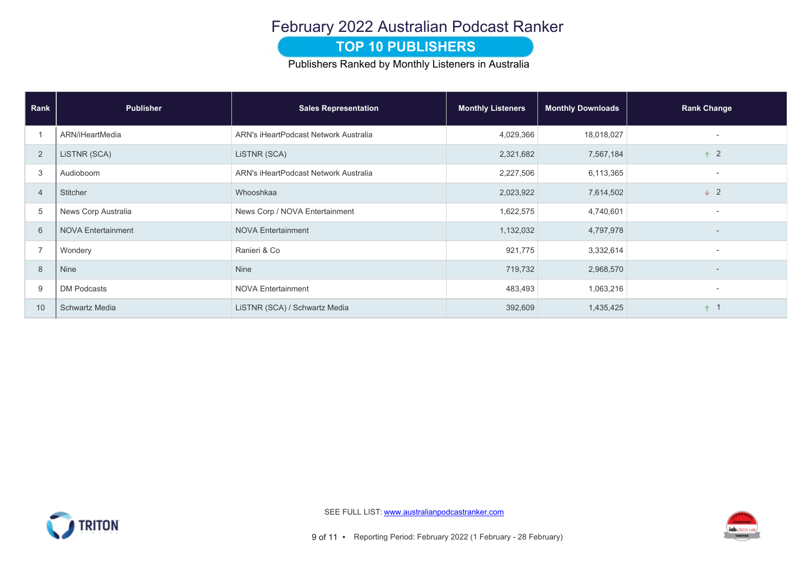# February 2022 Australian Podcast Ranker

#### **TOP 10 PUBLISHERS**

Publishers Ranked by Monthly Listeners in Australia

| Rank           | <b>Publisher</b>          | <b>Sales Representation</b>           | <b>Monthly Listeners</b> | <b>Monthly Downloads</b> | <b>Rank Change</b>       |
|----------------|---------------------------|---------------------------------------|--------------------------|--------------------------|--------------------------|
|                | ARN/iHeartMedia           | ARN's iHeartPodcast Network Australia | 4,029,366                | 18,018,027               |                          |
| $\overline{2}$ | LISTNR (SCA)              | LISTNR (SCA)                          | 2,321,682                | 7,567,184                | $\overline{2}$           |
| 3              | Audioboom                 | ARN's iHeartPodcast Network Australia | 2,227,506                | 6,113,365                | $\overline{\phantom{0}}$ |
| $\overline{4}$ | Stitcher                  | Whooshkaa                             | 2,023,922                | 7,614,502                | $+2$                     |
| 5              | News Corp Australia       | News Corp / NOVA Entertainment        | 1,622,575                | 4,740,601                | $\overline{\phantom{a}}$ |
| 6              | <b>NOVA Entertainment</b> | <b>NOVA Entertainment</b>             | 1,132,032                | 4,797,978                |                          |
| $\overline{7}$ | Wondery                   | Ranieri & Co                          | 921,775                  | 3,332,614                | $\sim$                   |
| 8              | Nine                      | Nine                                  | 719,732                  | 2,968,570                |                          |
| 9              | <b>DM Podcasts</b>        | <b>NOVA Entertainment</b>             | 483,493                  | 1,063,216                | $\overline{\phantom{a}}$ |
| 10             | <b>Schwartz Media</b>     | LISTNR (SCA) / Schwartz Media         | 392,609                  | 1,435,425                |                          |



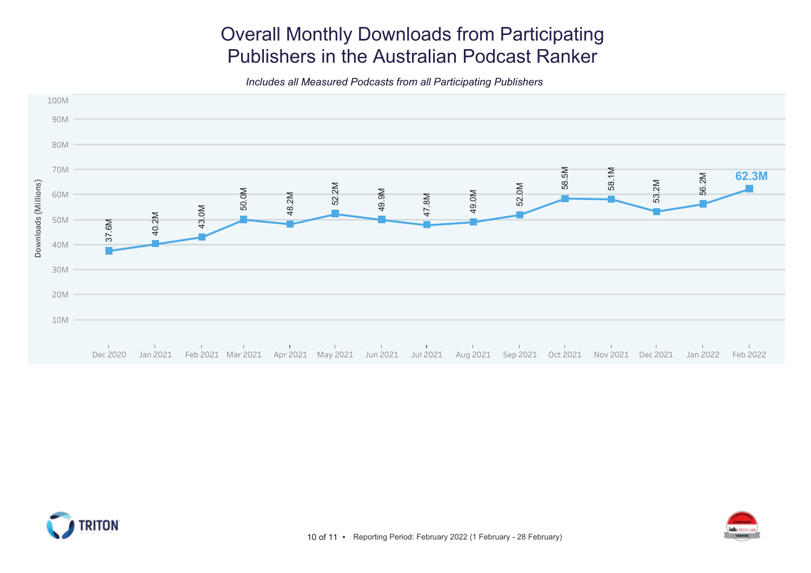# Overall Monthly Downloads from Participating Publishers in the Australian Podcast Ranker

Includes all Measured Podcasts from all Participating Publishers